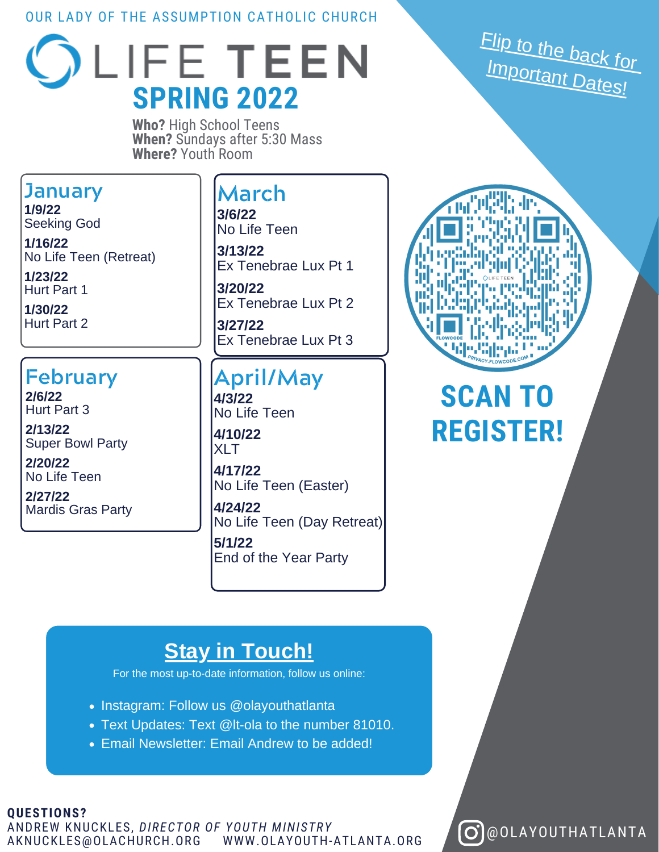#### OUR LADY OF THE ASSUMPTION CATHOLIC CHURCH



**Who?** High School Teens **When?** Sundays after 5:30 Mass **Where?** Youth Room

#### **January**

**1/9/22** Seeking God

**1/16/22** No Life Teen (Retreat)

**1/23/22** Hurt Part 1

**1/30/22** Hurt Part 2

### **February**

**2/6/22** Hurt Part 3

**2/13/22** Super Bowl Party

**2/20/22** No Life Teen

**2/27/22** Mardis Gras Party

#### **March**

**3/6/22** No Life Teen

**3/13/22** Ex Tenebrae Lux Pt 1

**3/20/22** Ex Tenebrae Lux Pt 2

**3/27/22** Ex Tenebrae Lux Pt 3

#### **April/May 4/3/22**

No Life Teen **4/10/22 XIT** 

**4/17/22** No Life Teen (Easter)

**4/24/22** No Life Teen (Day Retreat) **5/1/22**

End of the Year Party

## **Stay in Touch!**

For the most up-to-date information, follow us online:

- Instagram: Follow us @olayouthatlanta
- Text Updates: Text @lt-ola to the number 81010.
- Email Newsletter: Email Andrew to be added!

#### **QUESTIONS?** ANDREW KNUCKLES, *DIRECTOR OF YOUTH MINISTRY* AKNUCKLES@OLACHURCH.ORG

<u>Flip to the back for</u><br>Impax **Important Dates!** 



## **SCAN TO REGISTER!**

 $\Theta$ @OLAYOUTHATLANTA